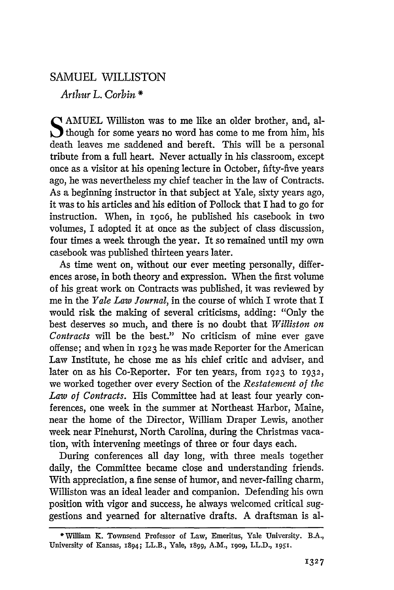## SAMUEL WILLISTON

*Arthur* L. *Corbin* \*

SAMUEL Williston was to me like an older brother, and, al-<br>though for some years no word has come to me from him, his death leaves me saddened and bereft. This will be a personal tribute from a full heart. Never actually in his classroom, except once as a visitor at his opening lecture in October, fifty-five years ago, he was nevertheless my chief teacher in the law of Contracts. As a beginning instructor in that subject at Yale, sixty years ago, it was to his articles and his edition of Pollock that I had to go for instruction. When, in 1906, he published his casebook in two volumes, I adopted it at once as the subject of class discussion, four times a week through the year. It so remained until my own casebook was published thirteen years later.

As time went on, without our ever meeting personally, differences arose, in both theory and expression. When the first volume of his great work on Contracts was published, it was reviewed by me in the *Yale Law Journal,* in the course of which I wrote that I would risk the making of several criticisms, adding: "Only the best deserves so much, and there is no doubt that *Williston on Contracts* will be the best." No criticism of mine ever gave offense; and when in 1923 he was made Reporter for the American Law Institute, he chose me as his chief critic and adviser, and later on as his Co-Reporter. For ten years, from 1923 to 1932, we worked together over every Section of the *Restatement of the Law of Contracts.* His Committee had at least four yearly conferences, one week in the summer at Northeast Harbor, Maine, near the home of the Director, William Draper Lewis, another week near Pinehurst, North Carolina, during the Christmas vacation, with intervening meetings of three or four days each.

During conferences all day long, with three meals together daily, the Committee became close and understanding friends. With appreciation, a fine sense of humor, and never-failing charm, Williston was an ideal leader and companion. Defending his own position with vigor and success, he always welcomed critical suggestions and yearned for alternative drafts. A draftsman is al-

<sup>·</sup>William K. Townsend Professor of Law, Emeritus, Yale University. B.A., University of Kansas, 1894; LL.B., Yale, 1899, A.M., 1909, LL.D., 1951.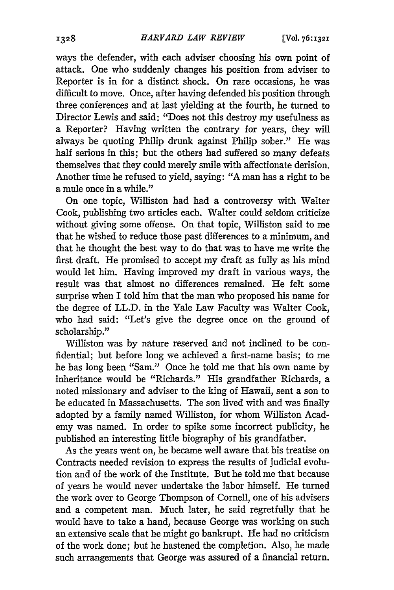ways the defender, with each adviser choosing his own point of attack. One who suddenly changes his position from adviser to Reporter is in for a distinct shock. On rare occasions, he was difficult to move. Once, after having defended his position through three conferences and at last yielding at the fourth, he turned to Director Lewis and said: "Does not this destroy my usefulness as a Reporter? Having written the contrary for years, they will always be quoting Philip drunk against Philip sober." He was half serious in this; but the others had suffered so many defeats themselves that they could merely smile with affectionate derision. Another time he refused to yield, saying: "A man has a right to be a mule once in a while."

On one topic, Williston had had a controversy with Walter Cook, publishing two articles each. Walter could seldom criticize without giving some offense. On that topic, Williston said to me that he wished to reduce those past differences to a minimum, and that he thought the best way to do that was to have me write the first draft. He promised to accept my draft as fully as his mind would let him. Having improved my draft in various ways, the result was that almost no differences remained. He felt some surprise when I told him that the man who proposed his name for the degree of LL.D. in the Yale Law Faculty was Walter Cook, who had said: "Let's give the degree once on the ground of scholarship."

Williston was by nature reserved and not inclined to be confidential; but before long we achieved a first-name basis; to me he has long been "Sam." Once he told me that his own name by inheritance would be "Richards." His grandfather Richards, a noted missionary and adviser to the king of Hawaii, sent a son to be educated in Massachusetts. The son lived with and was finally adopted by a family named Williston, for whom Williston Academy was named. In order to spike some incorrect publicity, he published an interesting little biography of his grandfather.

As the years went on, he became well aware that his treatise on Contracts needed revision to express the results of judicial evolution and of the work of the Institute. But he told me that because of years he would never undertake the labor himself. He turned the work over to George Thompson of Cornell, one of his advisers and a competent man. Much later, he said regretfully that he would have to take a hand, because George was working on such an extensive scale that he might go bankrupt. He had no criticism of the work done; but he hastened the completion. Also, he made such arrangements that George was assured of a financial return.